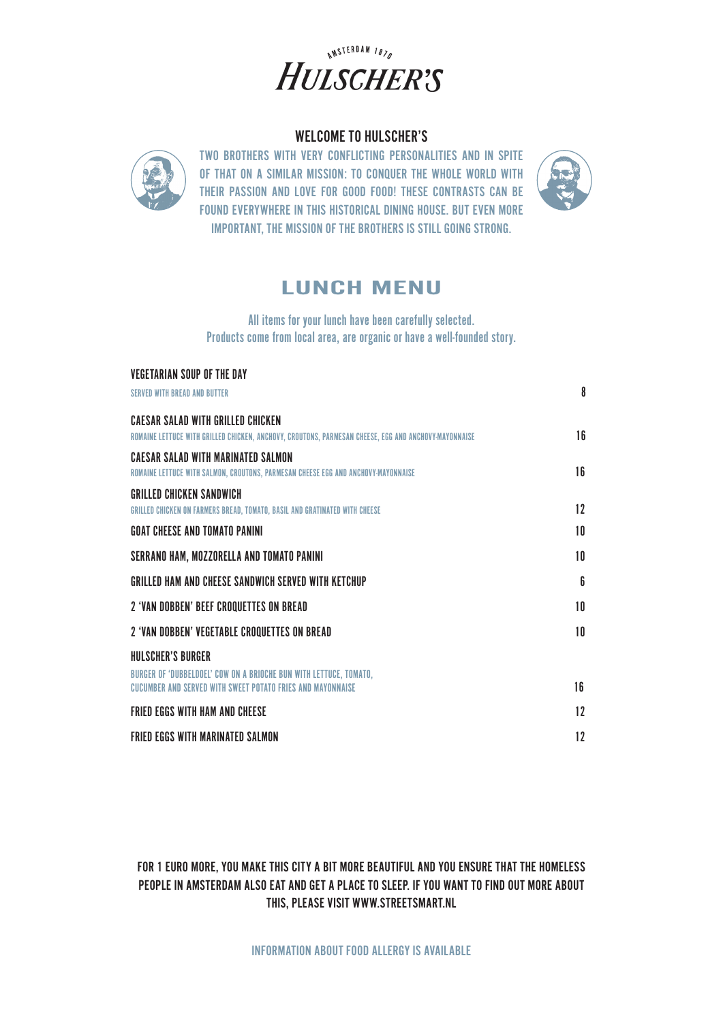

### WELCOME TO HULSCHER'S



TWO BROTHERS WITH VERY CONFLICTING PERSONALITIES AND IN SPITE OF THAT ON A SIMILAR MISSION: TO CONQUER THE WHOLE WORLD WITH THEIR PASSION AND LOVE FOR GOOD FOOD! THESE CONTRASTS CAN BE FOUND EVERYWHERE IN THIS HISTORICAL DINING HOUSE. BUT EVEN MORE IMPORTANT, THE MISSION OF THE BROTHERS IS STILL GOING STRONG.



# LUNCH MENU

All items for your lunch have been carefully selected. Products come from local area, are organic or have a well-founded story.

| <b>VEGETARIAN SOUP OF THE DAY</b>                                                                    |    |
|------------------------------------------------------------------------------------------------------|----|
| <b>SERVED WITH BREAD AND BUTTER</b>                                                                  | 8  |
| CAESAR SALAD WITH GRILLED CHICKEN                                                                    |    |
| ROMAINE LETTUCE WITH GRILLED CHICKEN, ANCHOVY, CROUTONS, PARMESAN CHEESE, EGG AND ANCHOVY-MAYONNAISE | 16 |
| <b>CAESAR SALAD WITH MARINATED SALMON</b>                                                            |    |
| ROMAINE LETTUCE WITH SALMON, CROUTONS, PARMESAN CHEESE EGG AND ANCHOVY-MAYONNAISE                    | 16 |
| <b>GRILLED CHICKEN SANDWICH</b>                                                                      |    |
| GRILLED CHICKEN ON FARMERS BREAD, TOMATO, BASIL AND GRATINATED WITH CHEESE                           | 12 |
| <b>GOAT CHEESE AND TOMATO PANINI</b>                                                                 | 10 |
| SERRANO HAM, MOZZORELLA AND TOMATO PANINI                                                            | 10 |
| GRILLED HAM AND CHEESE SANDWICH SERVED WITH KETCHUP                                                  | 6  |
| 2 'VAN DOBBEN' BEEF CROQUETTES ON BREAD                                                              | 10 |
| 2 'VAN DOBBEN' VEGETABLE CROQUETTES ON BREAD                                                         | 10 |
| HULSCHER'S BURGER                                                                                    |    |
| BURGER OF 'DUBBELDOEL' COW ON A BRIOCHE BUN WITH LETTUCE. TOMATO.                                    |    |
| CUCUMBER AND SERVED WITH SWEET POTATO FRIES AND MAYONNAISE                                           | 16 |
| <b>FRIED EGGS WITH HAM AND CHEESE</b>                                                                | 12 |
| <b>FRIED EGGS WITH MARINATED SALMON</b>                                                              | 12 |

FOR 1 EURO MORE, YOU MAKE THIS CITY A BIT MORE BEAUTIFUL AND YOU ENSURE THAT THE HOMELESS PEOPLE IN AMSTERDAM ALSO EAT AND GET A PLACE TO SLEEP. IF YOU WANT TO FIND OUT MORE ABOUT THIS, PLEASE VISIT WWW.STREETSMART.NL